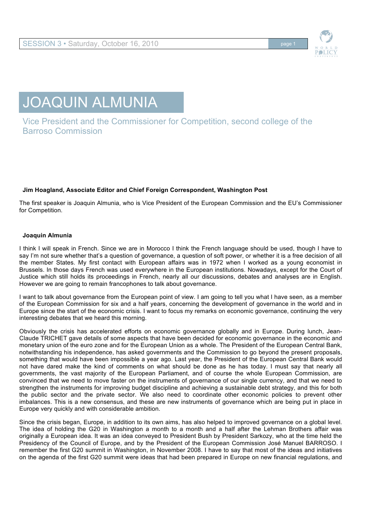

## JOAQUIN ALMUNIA

Vice President and the Commissioner for Competition, second college of the Barroso Commission

## **Jim Hoagland, Associate Editor and Chief Foreign Correspondent, Washington Post**

The first speaker is Joaquin Almunia, who is Vice President of the European Commission and the EU's Commissioner for Competition.

## **Joaquin Almunia**

I think I will speak in French. Since we are in Morocco I think the French language should be used, though I have to say I'm not sure whether that's a question of governance, a question of soft power, or whether it is a free decision of all the member States. My first contact with European affairs was in 1972 when I worked as a young economist in Brussels. In those days French was used everywhere in the European institutions. Nowadays, except for the Court of Justice which still holds its proceedings in French, nearly all our discussions, debates and analyses are in English. However we are going to remain francophones to talk about governance.

I want to talk about governance from the European point of view. I am going to tell you what I have seen, as a member of the European Commission for six and a half years, concerning the development of governance in the world and in Europe since the start of the economic crisis. I want to focus my remarks on economic governance, continuing the very interesting debates that we heard this morning.

Obviously the crisis has accelerated efforts on economic governance globally and in Europe. During lunch, Jean-Claude TRICHET gave details of some aspects that have been decided for economic governance in the economic and monetary union of the euro zone and for the European Union as a whole. The President of the European Central Bank, notwithstanding his independence, has asked governments and the Commission to go beyond the present proposals, something that would have been impossible a year ago. Last year, the President of the European Central Bank would not have dared make the kind of comments on what should be done as he has today. I must say that nearly all governments, the vast majority of the European Parliament, and of course the whole European Commission, are convinced that we need to move faster on the instruments of governance of our single currency, and that we need to strengthen the instruments for improving budget discipline and achieving a sustainable debt strategy, and this for both the public sector and the private sector. We also need to coordinate other economic policies to prevent other imbalances. This is a new consensus, and these are new instruments of governance which are being put in place in Europe very quickly and with considerable ambition.

Since the crisis began, Europe, in addition to its own aims, has also helped to improved governance on a global level. The idea of holding the G20 in Washington a month to a month and a half after the Lehman Brothers affair was originally a European idea. It was an idea conveyed to President Bush by President Sarkozy, who at the time held the Presidency of the Council of Europe, and by the President of the European Commission José Manuel BARROSO. I remember the first G20 summit in Washington, in November 2008. I have to say that most of the ideas and initiatives on the agenda of the first G20 summit were ideas that had been prepared in Europe on new financial regulations, and